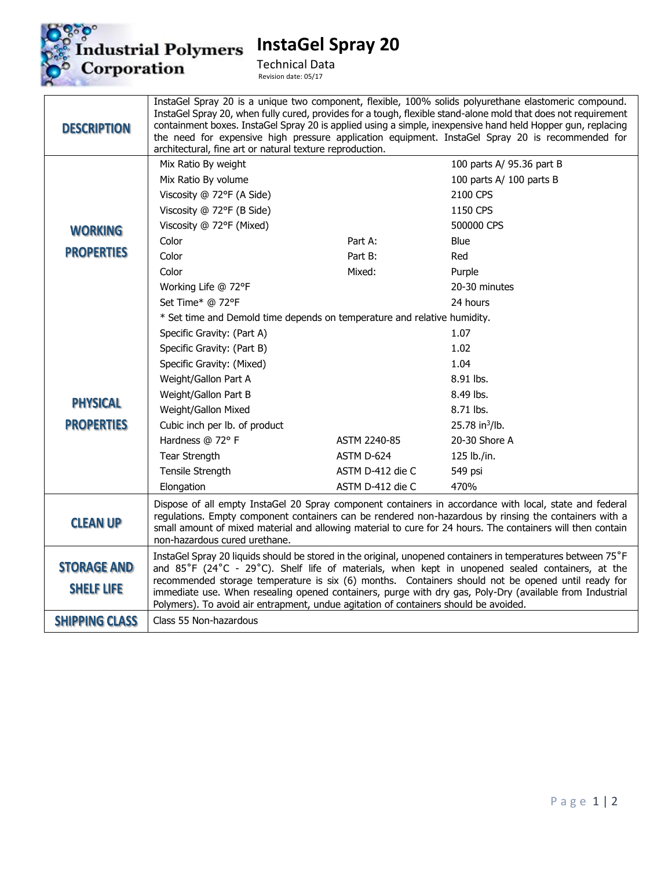

**InstaGel Spray 20**

Technical Data Revision date: 05/17

| <b>DESCRIPTION</b>                      | architectural, fine art or natural texture reproduction.                                                                                                                                                                                                                                                                                                                                                                                                                                                                   |                  | InstaGel Spray 20 is a unique two component, flexible, 100% solids polyurethane elastomeric compound.<br>InstaGel Spray 20, when fully cured, provides for a tough, flexible stand-alone mold that does not requirement<br>containment boxes. InstaGel Spray 20 is applied using a simple, inexpensive hand held Hopper gun, replacing<br>the need for expensive high pressure application equipment. InstaGel Spray 20 is recommended for |
|-----------------------------------------|----------------------------------------------------------------------------------------------------------------------------------------------------------------------------------------------------------------------------------------------------------------------------------------------------------------------------------------------------------------------------------------------------------------------------------------------------------------------------------------------------------------------------|------------------|--------------------------------------------------------------------------------------------------------------------------------------------------------------------------------------------------------------------------------------------------------------------------------------------------------------------------------------------------------------------------------------------------------------------------------------------|
|                                         | Mix Ratio By weight                                                                                                                                                                                                                                                                                                                                                                                                                                                                                                        |                  | 100 parts A/ 95.36 part B                                                                                                                                                                                                                                                                                                                                                                                                                  |
|                                         | Mix Ratio By volume                                                                                                                                                                                                                                                                                                                                                                                                                                                                                                        |                  | 100 parts A/ 100 parts B                                                                                                                                                                                                                                                                                                                                                                                                                   |
|                                         | Viscosity @ 72°F (A Side)                                                                                                                                                                                                                                                                                                                                                                                                                                                                                                  |                  | 2100 CPS                                                                                                                                                                                                                                                                                                                                                                                                                                   |
|                                         | Viscosity @ 72°F (B Side)                                                                                                                                                                                                                                                                                                                                                                                                                                                                                                  |                  | 1150 CPS                                                                                                                                                                                                                                                                                                                                                                                                                                   |
| <b>WORKING</b>                          | Viscosity @ 72°F (Mixed)                                                                                                                                                                                                                                                                                                                                                                                                                                                                                                   |                  | 500000 CPS                                                                                                                                                                                                                                                                                                                                                                                                                                 |
|                                         | Color                                                                                                                                                                                                                                                                                                                                                                                                                                                                                                                      | Part A:          | Blue                                                                                                                                                                                                                                                                                                                                                                                                                                       |
| <b>PROPERTIES</b>                       | Color                                                                                                                                                                                                                                                                                                                                                                                                                                                                                                                      | Part B:          | Red                                                                                                                                                                                                                                                                                                                                                                                                                                        |
|                                         | Color                                                                                                                                                                                                                                                                                                                                                                                                                                                                                                                      | Mixed:           | Purple                                                                                                                                                                                                                                                                                                                                                                                                                                     |
|                                         | Working Life @ 72°F                                                                                                                                                                                                                                                                                                                                                                                                                                                                                                        |                  | 20-30 minutes                                                                                                                                                                                                                                                                                                                                                                                                                              |
|                                         | Set Time* @ 72°F                                                                                                                                                                                                                                                                                                                                                                                                                                                                                                           |                  | 24 hours                                                                                                                                                                                                                                                                                                                                                                                                                                   |
|                                         | * Set time and Demold time depends on temperature and relative humidity.                                                                                                                                                                                                                                                                                                                                                                                                                                                   |                  |                                                                                                                                                                                                                                                                                                                                                                                                                                            |
|                                         | Specific Gravity: (Part A)                                                                                                                                                                                                                                                                                                                                                                                                                                                                                                 |                  | 1.07                                                                                                                                                                                                                                                                                                                                                                                                                                       |
| <b>PHYSICAL</b>                         | Specific Gravity: (Part B)                                                                                                                                                                                                                                                                                                                                                                                                                                                                                                 |                  | 1.02                                                                                                                                                                                                                                                                                                                                                                                                                                       |
|                                         | Specific Gravity: (Mixed)                                                                                                                                                                                                                                                                                                                                                                                                                                                                                                  |                  | 1.04                                                                                                                                                                                                                                                                                                                                                                                                                                       |
|                                         | Weight/Gallon Part A                                                                                                                                                                                                                                                                                                                                                                                                                                                                                                       |                  | 8.91 lbs.                                                                                                                                                                                                                                                                                                                                                                                                                                  |
|                                         | Weight/Gallon Part B                                                                                                                                                                                                                                                                                                                                                                                                                                                                                                       |                  | 8.49 lbs.                                                                                                                                                                                                                                                                                                                                                                                                                                  |
|                                         | Weight/Gallon Mixed                                                                                                                                                                                                                                                                                                                                                                                                                                                                                                        |                  | 8.71 lbs.                                                                                                                                                                                                                                                                                                                                                                                                                                  |
| <b>PROPERTIES</b>                       | Cubic inch per lb. of product                                                                                                                                                                                                                                                                                                                                                                                                                                                                                              |                  | 25.78 in <sup>3</sup> /lb.                                                                                                                                                                                                                                                                                                                                                                                                                 |
|                                         | Hardness @ 72° F                                                                                                                                                                                                                                                                                                                                                                                                                                                                                                           | ASTM 2240-85     | 20-30 Shore A                                                                                                                                                                                                                                                                                                                                                                                                                              |
|                                         | Tear Strength                                                                                                                                                                                                                                                                                                                                                                                                                                                                                                              | ASTM D-624       | 125 lb./in.                                                                                                                                                                                                                                                                                                                                                                                                                                |
|                                         | Tensile Strength                                                                                                                                                                                                                                                                                                                                                                                                                                                                                                           | ASTM D-412 die C | 549 psi                                                                                                                                                                                                                                                                                                                                                                                                                                    |
|                                         | Elongation                                                                                                                                                                                                                                                                                                                                                                                                                                                                                                                 | ASTM D-412 die C | 470%                                                                                                                                                                                                                                                                                                                                                                                                                                       |
| <b>CLEAN UP</b>                         | Dispose of all empty InstaGel 20 Spray component containers in accordance with local, state and federal<br>regulations. Empty component containers can be rendered non-hazardous by rinsing the containers with a<br>small amount of mixed material and allowing material to cure for 24 hours. The containers will then contain<br>non-hazardous cured urethane.                                                                                                                                                          |                  |                                                                                                                                                                                                                                                                                                                                                                                                                                            |
| <b>STORAGE AND</b><br><b>SHELF LIFE</b> | InstaGel Spray 20 liquids should be stored in the original, unopened containers in temperatures between 75°F<br>and 85°F (24°C - 29°C). Shelf life of materials, when kept in unopened sealed containers, at the<br>recommended storage temperature is six (6) months. Containers should not be opened until ready for<br>immediate use. When resealing opened containers, purge with dry gas, Poly-Dry (available from Industrial<br>Polymers). To avoid air entrapment, undue agitation of containers should be avoided. |                  |                                                                                                                                                                                                                                                                                                                                                                                                                                            |
| <b>SHIPPING CLASS</b>                   | Class 55 Non-hazardous                                                                                                                                                                                                                                                                                                                                                                                                                                                                                                     |                  |                                                                                                                                                                                                                                                                                                                                                                                                                                            |
|                                         |                                                                                                                                                                                                                                                                                                                                                                                                                                                                                                                            |                  |                                                                                                                                                                                                                                                                                                                                                                                                                                            |